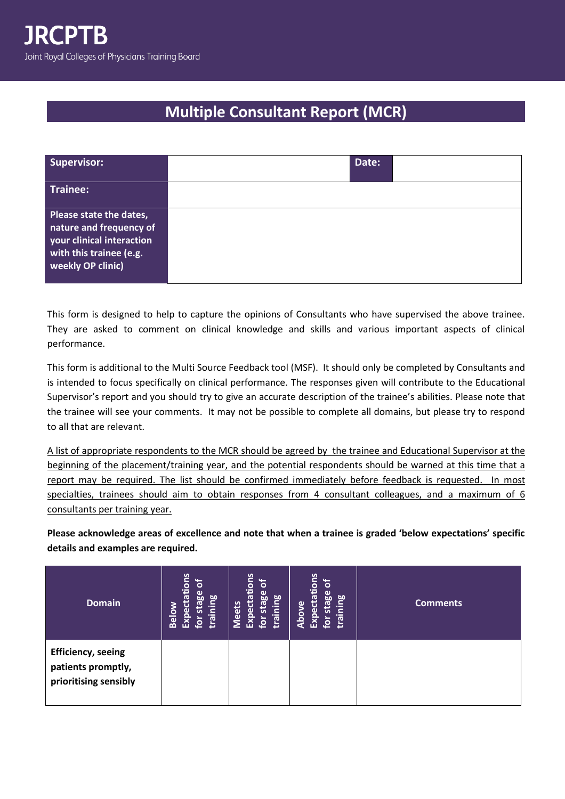## **Multiple Consultant Report (MCR)**

| <b>Supervisor:</b>                                                                                                                     | Date: |  |
|----------------------------------------------------------------------------------------------------------------------------------------|-------|--|
| Trainee:                                                                                                                               |       |  |
| Please state the dates,<br>nature and frequency of<br>your clinical interaction<br>with this trainee (e.g.<br><b>weekly OP clinic)</b> |       |  |

This form is designed to help to capture the opinions of Consultants who have supervised the above trainee. They are asked to comment on clinical knowledge and skills and various important aspects of clinical performance.

This form is additional to the Multi Source Feedback tool (MSF). It should only be completed by Consultants and is intended to focus specifically on clinical performance. The responses given will contribute to the Educational Supervisor's report and you should try to give an accurate description of the trainee's abilities. Please note that the trainee will see your comments. It may not be possible to complete all domains, but please try to respond to all that are relevant.

A list of appropriate respondents to the MCR should be agreed by the trainee and Educational Supervisor at the beginning of the placement/training year, and the potential respondents should be warned at this time that a report may be required. The list should be confirmed immediately before feedback is requested. In most specialties, trainees should aim to obtain responses from 4 consultant colleagues, and a maximum of 6 consultants per training year.

**Please acknowledge areas of excellence and note that when a trainee is graded 'below expectations' specific details and examples are required.** 

| <b>Domain</b>                                                            | tions<br>្រី<br>stage<br>ര<br>training<br><b>Below</b><br>Expect<br>$\mathbf{\tilde{p}}$ | Expectations<br>6<br>for stage<br>training<br><b>Meets</b> | Expectations<br>្រុ<br>for stage<br>training<br><b>Above</b> | <b>Comments</b> |
|--------------------------------------------------------------------------|------------------------------------------------------------------------------------------|------------------------------------------------------------|--------------------------------------------------------------|-----------------|
| <b>Efficiency, seeing</b><br>patients promptly,<br>prioritising sensibly |                                                                                          |                                                            |                                                              |                 |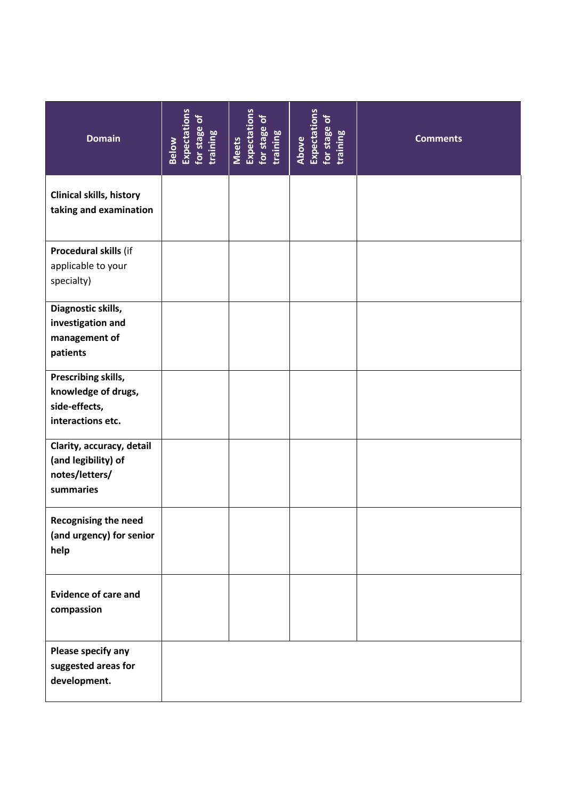| <b>Domain</b>                                                                    | Expectations<br>for stage of<br>training<br>Below | Meets<br>Expectations<br>for stage of<br>training | Above<br>Expectations<br>for stage of<br>training | <b>Comments</b> |
|----------------------------------------------------------------------------------|---------------------------------------------------|---------------------------------------------------|---------------------------------------------------|-----------------|
| <b>Clinical skills, history</b><br>taking and examination                        |                                                   |                                                   |                                                   |                 |
| Procedural skills (if<br>applicable to your<br>specialty)                        |                                                   |                                                   |                                                   |                 |
| Diagnostic skills,<br>investigation and<br>management of<br>patients             |                                                   |                                                   |                                                   |                 |
| Prescribing skills,<br>knowledge of drugs,<br>side-effects,<br>interactions etc. |                                                   |                                                   |                                                   |                 |
| Clarity, accuracy, detail<br>(and legibility) of<br>notes/letters/<br>summaries  |                                                   |                                                   |                                                   |                 |
| <b>Recognising the need</b><br>(and urgency) for senior<br>help                  |                                                   |                                                   |                                                   |                 |
| <b>Evidence of care and</b><br>compassion                                        |                                                   |                                                   |                                                   |                 |
| Please specify any<br>suggested areas for<br>development.                        |                                                   |                                                   |                                                   |                 |